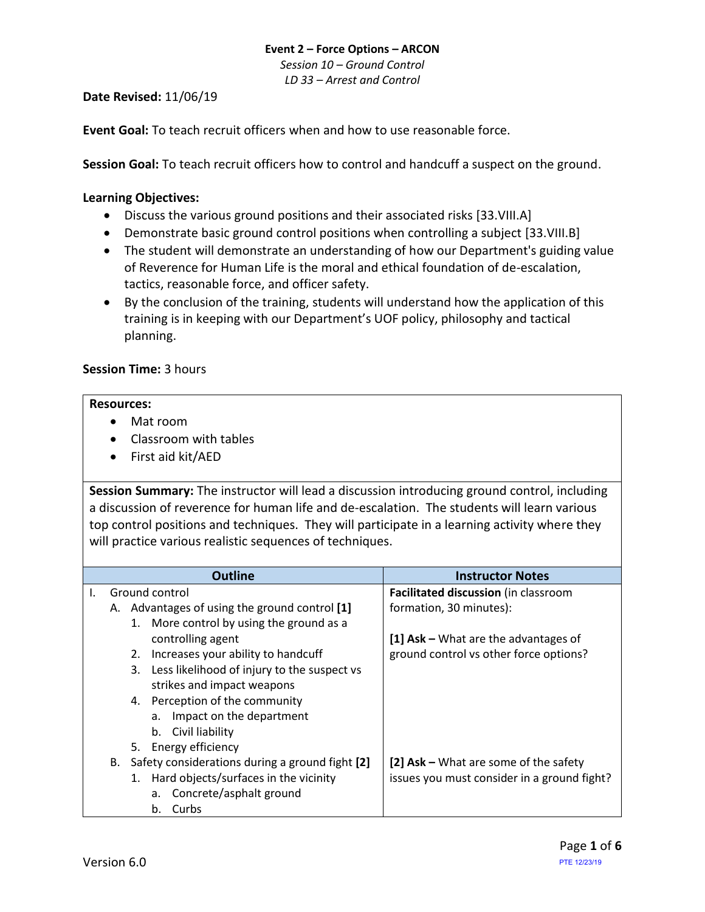*Session 10 – Ground Control LD 33 – Arrest and Control*

## **Date Revised:** 11/06/19

**Event Goal:** To teach recruit officers when and how to use reasonable force.

**Session Goal:** To teach recruit officers how to control and handcuff a suspect on the ground.

### <span id="page-0-0"></span>**Learning Objectives:**

- [Discuss the various ground positions and their associated risks \[33.VIII.A\]](#page-3-0)
- [Demonstrate basic ground control positions when controlling a subject](#page-4-0) [33.VIII.B]
- The student will demonstrate an understanding of how our Department's guiding value of Reverence for Human Life is the moral and ethical foundation of de-escalation, tactics, reasonable force, and officer safety.
- By the conclusion of the training, students will understand how the application of this training is in keeping with our Department's UOF policy, philosophy and tactical planning.

## **Session Time:** 3 hours

#### **Resources:**

- Mat room
- Classroom with tables
- First aid kit/AED

**Session Summary:** The instructor will lead a discussion introducing ground control, including a discussion of reverence for human life and de-escalation. The students will learn various top control positions and techniques. They will participate in a learning activity where they will practice various realistic sequences of techniques.

|    | <b>Outline</b>                                        | <b>Instructor Notes</b>                     |  |
|----|-------------------------------------------------------|---------------------------------------------|--|
| Ι. | Ground control                                        | <b>Facilitated discussion</b> (in classroom |  |
|    | Advantages of using the ground control [1]<br>А.      | formation, 30 minutes):                     |  |
|    | 1. More control by using the ground as a              |                                             |  |
|    | controlling agent                                     | [1] Ask $-$ What are the advantages of      |  |
|    | Increases your ability to handcuff<br>2.              | ground control vs other force options?      |  |
|    | 3. Less likelihood of injury to the suspect vs        |                                             |  |
|    | strikes and impact weapons                            |                                             |  |
|    | 4. Perception of the community                        |                                             |  |
|    | Impact on the department<br>а.                        |                                             |  |
|    | Civil liability<br>b.                                 |                                             |  |
|    | 5. Energy efficiency                                  |                                             |  |
|    | Safety considerations during a ground fight [2]<br>В. | [2] Ask – What are some of the safety       |  |
|    | 1. Hard objects/surfaces in the vicinity              | issues you must consider in a ground fight? |  |
|    | Concrete/asphalt ground<br>а.                         |                                             |  |
|    | Curbs<br>b.                                           |                                             |  |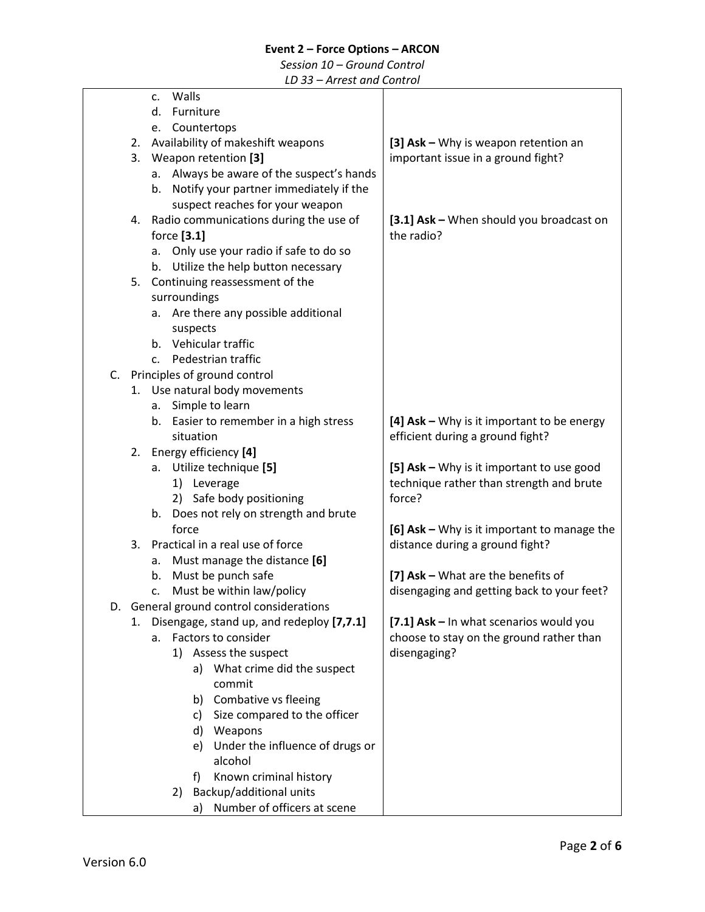### *Session 10 – Ground Control*

|    |    |                                   |             | THE COLUMN CONTROL                        |                                              |  |  |
|----|----|-----------------------------------|-------------|-------------------------------------------|----------------------------------------------|--|--|
|    |    | c.                                | Walls       |                                           |                                              |  |  |
|    |    | Furniture<br>d.                   |             |                                           |                                              |  |  |
|    |    | Countertops<br>e.                 |             |                                           |                                              |  |  |
|    | 2. | Availability of makeshift weapons |             |                                           | [3] Ask - Why is weapon retention an         |  |  |
|    | 3. | Weapon retention [3]              |             |                                           | important issue in a ground fight?           |  |  |
|    |    | a.                                |             | Always be aware of the suspect's hands    |                                              |  |  |
|    |    | b.                                |             | Notify your partner immediately if the    |                                              |  |  |
|    |    |                                   |             | suspect reaches for your weapon           |                                              |  |  |
|    | 4. |                                   |             | Radio communications during the use of    | [3.1] Ask - When should you broadcast on     |  |  |
|    |    |                                   | force [3.1] |                                           | the radio?                                   |  |  |
|    |    |                                   |             |                                           |                                              |  |  |
|    |    | a.                                |             | Only use your radio if safe to do so      |                                              |  |  |
|    |    | b.                                |             | Utilize the help button necessary         |                                              |  |  |
|    |    |                                   |             | 5. Continuing reassessment of the         |                                              |  |  |
|    |    |                                   |             | surroundings                              |                                              |  |  |
|    |    | а.                                |             | Are there any possible additional         |                                              |  |  |
|    |    |                                   |             | suspects                                  |                                              |  |  |
|    |    |                                   |             | b. Vehicular traffic                      |                                              |  |  |
|    |    | c.                                |             | Pedestrian traffic                        |                                              |  |  |
| C. |    |                                   |             | Principles of ground control              |                                              |  |  |
|    |    |                                   |             | 1. Use natural body movements             |                                              |  |  |
|    |    |                                   |             | a. Simple to learn                        |                                              |  |  |
|    |    | b.                                |             | Easier to remember in a high stress       | [4] $Ask - Why$ is it important to be energy |  |  |
|    |    |                                   |             | situation                                 | efficient during a ground fight?             |  |  |
|    | 2. |                                   |             | Energy efficiency [4]                     |                                              |  |  |
|    |    | а.                                |             | Utilize technique [5]                     | [5] Ask - Why is it important to use good    |  |  |
|    |    |                                   |             | 1) Leverage                               | technique rather than strength and brute     |  |  |
|    |    |                                   |             | 2) Safe body positioning                  | force?                                       |  |  |
|    |    | b.                                |             | Does not rely on strength and brute       |                                              |  |  |
|    |    |                                   | force       |                                           | [6] Ask - Why is it important to manage the  |  |  |
|    | 3. |                                   |             | Practical in a real use of force          | distance during a ground fight?              |  |  |
|    |    | a.                                |             | Must manage the distance [6]              |                                              |  |  |
|    |    | b.                                |             | Must be punch safe                        | [7] Ask - What are the benefits of           |  |  |
|    |    |                                   |             | Must be within law/policy                 | disengaging and getting back to your feet?   |  |  |
|    |    | c.                                |             |                                           |                                              |  |  |
|    |    |                                   |             | D. General ground control considerations  |                                              |  |  |
|    | 1. |                                   |             | Disengage, stand up, and redeploy [7,7.1] | [7.1] Ask - In what scenarios would you      |  |  |
|    |    | a.                                |             | Factors to consider                       | choose to stay on the ground rather than     |  |  |
|    |    |                                   | 1)          | Assess the suspect                        | disengaging?                                 |  |  |
|    |    |                                   |             | a) What crime did the suspect             |                                              |  |  |
|    |    |                                   |             | commit                                    |                                              |  |  |
|    |    |                                   |             | Combative vs fleeing<br>b)                |                                              |  |  |
|    |    |                                   |             | Size compared to the officer<br>C)        |                                              |  |  |
|    |    |                                   |             | Weapons<br>d)                             |                                              |  |  |
|    |    |                                   |             | Under the influence of drugs or<br>e)     |                                              |  |  |
|    |    |                                   |             | alcohol                                   |                                              |  |  |
|    |    |                                   |             | Known criminal history<br>f)              |                                              |  |  |
|    |    |                                   | 2)          | Backup/additional units                   |                                              |  |  |
|    |    |                                   |             | Number of officers at scene<br>a)         |                                              |  |  |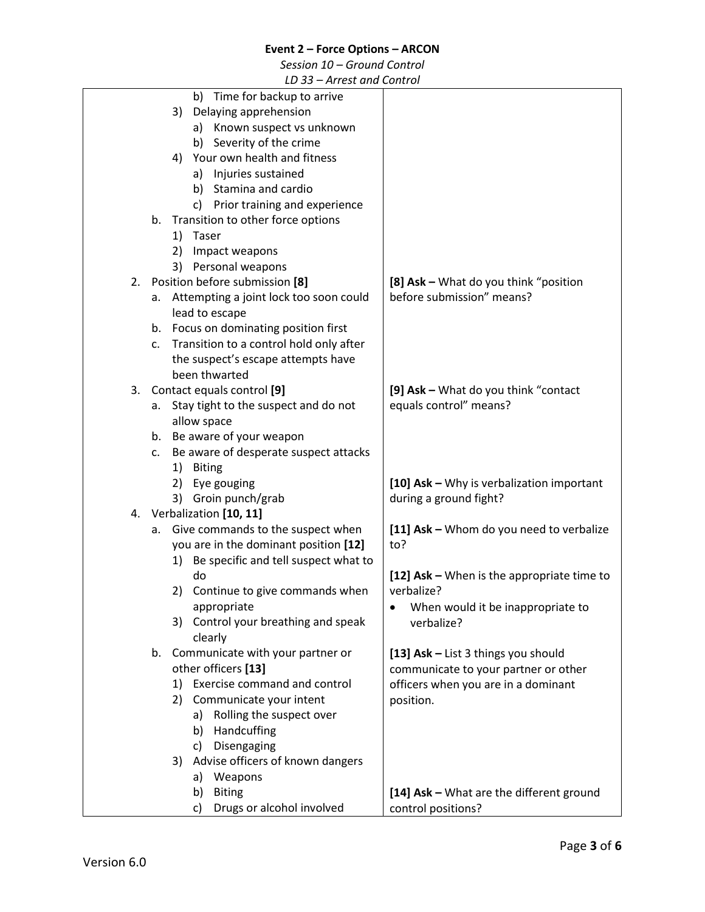*Session 10 – Ground Control*

|    |    |    | LD JJ – AITCSL UNU CONTUOI                                                       |                                            |
|----|----|----|----------------------------------------------------------------------------------|--------------------------------------------|
|    |    |    | b) Time for backup to arrive                                                     |                                            |
|    |    | 3) | Delaying apprehension                                                            |                                            |
|    |    |    | a) Known suspect vs unknown                                                      |                                            |
|    |    |    | b) Severity of the crime                                                         |                                            |
|    |    | 4) | Your own health and fitness                                                      |                                            |
|    |    |    | Injuries sustained<br>a)                                                         |                                            |
|    |    |    | Stamina and cardio<br>b)                                                         |                                            |
|    |    |    | c) Prior training and experience                                                 |                                            |
|    | b. |    | Transition to other force options                                                |                                            |
|    |    | 1) | Taser                                                                            |                                            |
|    |    | 2) | Impact weapons                                                                   |                                            |
|    |    |    | 3) Personal weapons                                                              |                                            |
| 2. |    |    | Position before submission [8]                                                   | [8] Ask - What do you think "position      |
|    | а. |    | Attempting a joint lock too soon could                                           | before submission" means?                  |
|    |    |    | lead to escape                                                                   |                                            |
|    |    |    | b. Focus on dominating position first                                            |                                            |
|    | c. |    | Transition to a control hold only after                                          |                                            |
|    |    |    | the suspect's escape attempts have                                               |                                            |
|    |    |    | been thwarted                                                                    |                                            |
| 3. |    |    | Contact equals control [9]                                                       | [9] Ask - What do you think "contact"      |
|    | а. |    | Stay tight to the suspect and do not                                             | equals control" means?                     |
|    |    |    | allow space                                                                      |                                            |
|    |    |    | b. Be aware of your weapon                                                       |                                            |
|    | c. |    | Be aware of desperate suspect attacks                                            |                                            |
|    |    |    | 1) Biting                                                                        |                                            |
|    |    |    | 2) Eye gouging                                                                   | [10] Ask - Why is verbalization important  |
|    |    |    | 3) Groin punch/grab                                                              | during a ground fight?                     |
| 4. |    |    | Verbalization [10, 11]<br>Give commands to the suspect when                      | [11] Ask - Whom do you need to verbalize   |
|    | а. |    |                                                                                  | to?                                        |
|    |    |    | you are in the dominant position [12]<br>1) Be specific and tell suspect what to |                                            |
|    |    |    | do                                                                               | [12] Ask - When is the appropriate time to |
|    |    |    | 2) Continue to give commands when                                                | verbalize?                                 |
|    |    |    | appropriate                                                                      | When would it be inappropriate to          |
|    |    | 3) | Control your breathing and speak                                                 | verbalize?                                 |
|    |    |    | clearly                                                                          |                                            |
|    |    |    | b. Communicate with your partner or                                              | [13] Ask - List 3 things you should        |
|    |    |    | other officers [13]                                                              | communicate to your partner or other       |
|    |    |    | 1) Exercise command and control                                                  | officers when you are in a dominant        |
|    |    | 2) | Communicate your intent                                                          | position.                                  |
|    |    |    | Rolling the suspect over<br>a)                                                   |                                            |
|    |    |    | Handcuffing<br>b)                                                                |                                            |
|    |    |    | Disengaging<br>c)                                                                |                                            |
|    |    | 3) | Advise officers of known dangers                                                 |                                            |
|    |    |    | Weapons<br>a)                                                                    |                                            |
|    |    |    | <b>Biting</b><br>b)                                                              | [14] Ask - What are the different ground   |
|    |    |    | Drugs or alcohol involved<br>c)                                                  | control positions?                         |
|    |    |    |                                                                                  |                                            |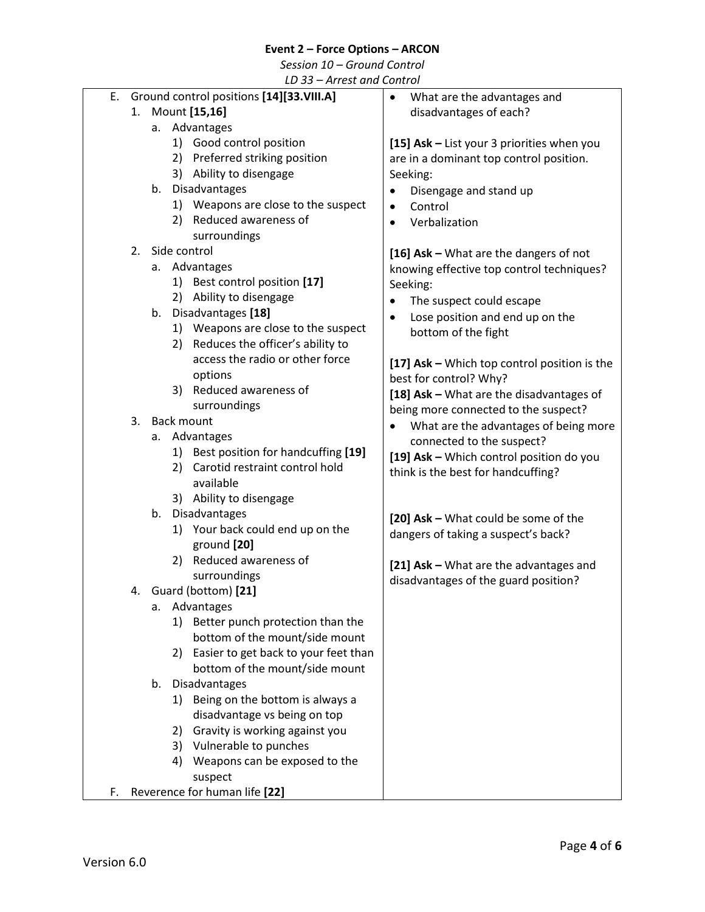*Session 10 – Ground Control*

<span id="page-3-0"></span>

|    |                                          |               |    | LD JJ – AHEST UNU CONTUOI                |                                              |  |  |
|----|------------------------------------------|---------------|----|------------------------------------------|----------------------------------------------|--|--|
| Е. | Ground control positions [14][33.VIII.A] |               |    | What are the advantages and<br>$\bullet$ |                                              |  |  |
|    | 1.                                       | Mount [15,16] |    |                                          | disadvantages of each?                       |  |  |
|    |                                          | a. Advantages |    |                                          |                                              |  |  |
|    |                                          |               |    | 1) Good control position                 | [15] Ask - List your 3 priorities when you   |  |  |
|    |                                          |               |    | 2) Preferred striking position           | are in a dominant top control position.      |  |  |
|    |                                          |               |    | 3) Ability to disengage                  | Seeking:                                     |  |  |
|    |                                          |               |    | b. Disadvantages                         | Disengage and stand up<br>$\bullet$          |  |  |
|    |                                          |               |    | 1) Weapons are close to the suspect      | Control<br>$\bullet$                         |  |  |
|    |                                          |               |    | 2) Reduced awareness of                  | Verbalization                                |  |  |
|    |                                          |               |    | surroundings                             | $\bullet$                                    |  |  |
|    |                                          |               |    | 2. Side control                          |                                              |  |  |
|    |                                          |               |    | a. Advantages                            | [16] Ask - What are the dangers of not       |  |  |
|    |                                          |               |    |                                          | knowing effective top control techniques?    |  |  |
|    |                                          |               |    | 1) Best control position [17]            | Seeking:                                     |  |  |
|    |                                          |               |    | 2) Ability to disengage                  | The suspect could escape<br>$\bullet$        |  |  |
|    |                                          | b.            |    | Disadvantages [18]                       | Lose position and end up on the              |  |  |
|    |                                          |               |    | 1) Weapons are close to the suspect      | bottom of the fight                          |  |  |
|    |                                          |               |    | 2) Reduces the officer's ability to      |                                              |  |  |
|    |                                          |               |    | access the radio or other force          | [17] Ask - Which top control position is the |  |  |
|    |                                          |               |    | options                                  | best for control? Why?                       |  |  |
|    |                                          |               |    | 3) Reduced awareness of                  | [18] Ask - What are the disadvantages of     |  |  |
|    |                                          |               |    | surroundings                             | being more connected to the suspect?         |  |  |
|    | 3.                                       |               |    | <b>Back mount</b>                        | What are the advantages of being more        |  |  |
|    |                                          | а.            |    | Advantages                               | connected to the suspect?                    |  |  |
|    |                                          |               |    | 1) Best position for handcuffing [19]    | [19] Ask - Which control position do you     |  |  |
|    |                                          |               |    | 2) Carotid restraint control hold        | think is the best for handcuffing?           |  |  |
|    |                                          |               |    | available                                |                                              |  |  |
|    |                                          |               |    | 3) Ability to disengage                  |                                              |  |  |
|    |                                          | b.            |    | Disadvantages                            | [20] Ask - What could be some of the         |  |  |
|    |                                          |               |    | 1) Your back could end up on the         | dangers of taking a suspect's back?          |  |  |
|    |                                          |               |    | ground [20]                              |                                              |  |  |
|    |                                          |               | 2) | Reduced awareness of                     | [21] Ask - What are the advantages and       |  |  |
|    |                                          |               |    | surroundings                             | disadvantages of the guard position?         |  |  |
|    |                                          |               |    | 4. Guard (bottom) [21]                   |                                              |  |  |
|    |                                          | а.            |    | Advantages                               |                                              |  |  |
|    |                                          |               | 1) | Better punch protection than the         |                                              |  |  |
|    |                                          |               |    | bottom of the mount/side mount           |                                              |  |  |
|    |                                          |               |    | 2) Easier to get back to your feet than  |                                              |  |  |
|    |                                          |               |    | bottom of the mount/side mount           |                                              |  |  |
|    |                                          | b.            |    | Disadvantages                            |                                              |  |  |
|    |                                          |               | 1) | Being on the bottom is always a          |                                              |  |  |
|    |                                          |               |    | disadvantage vs being on top             |                                              |  |  |
|    |                                          |               | 2) | Gravity is working against you           |                                              |  |  |
|    |                                          |               |    | 3) Vulnerable to punches                 |                                              |  |  |
|    |                                          |               | 4) | Weapons can be exposed to the            |                                              |  |  |
|    |                                          |               |    | suspect                                  |                                              |  |  |
|    |                                          |               |    |                                          |                                              |  |  |
| F. | Reverence for human life [22]            |               |    |                                          |                                              |  |  |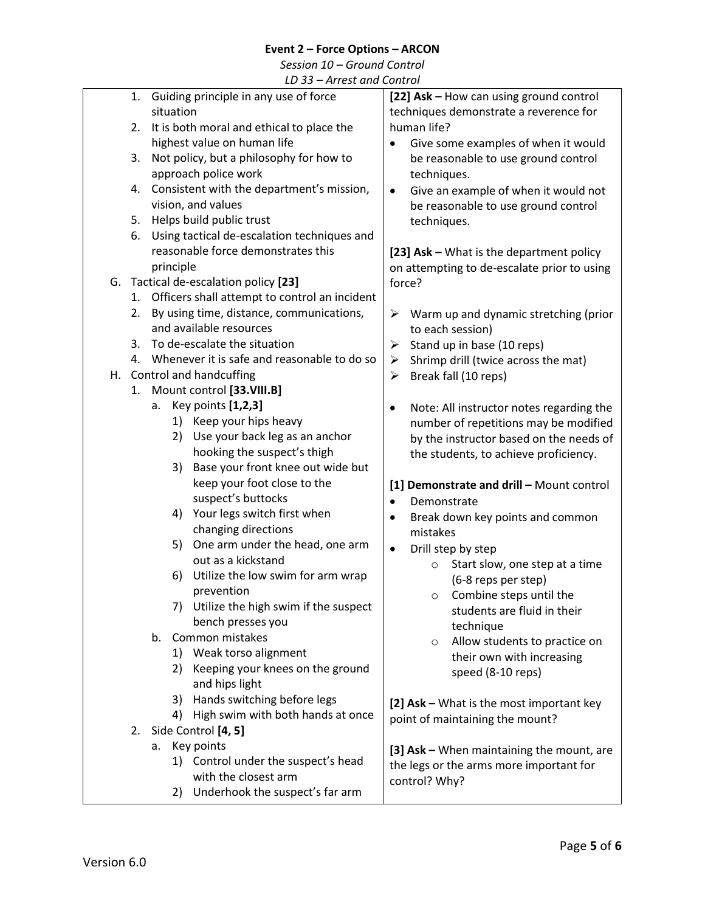*Session 10 – Ground Control*

<span id="page-4-0"></span>

| Guiding principle in any use of force<br>[22] Ask - How can using ground control<br>1.<br>situation<br>techniques demonstrate a reverence for<br>human life?<br>It is both moral and ethical to place the<br>2.<br>highest value on human life<br>Give some examples of when it would |  |
|---------------------------------------------------------------------------------------------------------------------------------------------------------------------------------------------------------------------------------------------------------------------------------------|--|
|                                                                                                                                                                                                                                                                                       |  |
|                                                                                                                                                                                                                                                                                       |  |
|                                                                                                                                                                                                                                                                                       |  |
|                                                                                                                                                                                                                                                                                       |  |
| Not policy, but a philosophy for how to<br>be reasonable to use ground control<br>3.                                                                                                                                                                                                  |  |
| approach police work<br>techniques.                                                                                                                                                                                                                                                   |  |
| Consistent with the department's mission,<br>4.<br>Give an example of when it would not<br>$\bullet$                                                                                                                                                                                  |  |
| vision, and values<br>be reasonable to use ground control                                                                                                                                                                                                                             |  |
| Helps build public trust<br>5.<br>techniques.                                                                                                                                                                                                                                         |  |
| Using tactical de-escalation techniques and<br>6.                                                                                                                                                                                                                                     |  |
| reasonable force demonstrates this<br>[23] Ask - What is the department policy                                                                                                                                                                                                        |  |
| principle<br>on attempting to de-escalate prior to using                                                                                                                                                                                                                              |  |
| Tactical de-escalation policy [23]<br>G.<br>force?                                                                                                                                                                                                                                    |  |
| 1. Officers shall attempt to control an incident                                                                                                                                                                                                                                      |  |
| By using time, distance, communications,<br>2.<br>Warm up and dynamic stretching (prior<br>➤                                                                                                                                                                                          |  |
| and available resources<br>to each session)                                                                                                                                                                                                                                           |  |
| 3. To de-escalate the situation<br>Stand up in base (10 reps)<br>➤                                                                                                                                                                                                                    |  |
| 4. Whenever it is safe and reasonable to do so<br>Shrimp drill (twice across the mat)<br>➤                                                                                                                                                                                            |  |
| H. Control and handcuffing<br>Break fall (10 reps)<br>➤                                                                                                                                                                                                                               |  |
| Mount control [33.VIII.B]<br>1.                                                                                                                                                                                                                                                       |  |
| a. Key points [1,2,3]<br>Note: All instructor notes regarding the<br>٠                                                                                                                                                                                                                |  |
| 1) Keep your hips heavy<br>number of repetitions may be modified                                                                                                                                                                                                                      |  |
| Use your back leg as an anchor<br>2)<br>by the instructor based on the needs of                                                                                                                                                                                                       |  |
| hooking the suspect's thigh<br>the students, to achieve proficiency.                                                                                                                                                                                                                  |  |
| Base your front knee out wide but<br>3)                                                                                                                                                                                                                                               |  |
| keep your foot close to the<br>[1] Demonstrate and drill - Mount control                                                                                                                                                                                                              |  |
| suspect's buttocks<br>Demonstrate<br>$\bullet$                                                                                                                                                                                                                                        |  |
| Your legs switch first when<br>4)<br>Break down key points and common<br>٠                                                                                                                                                                                                            |  |
| changing directions<br>mistakes                                                                                                                                                                                                                                                       |  |
| One arm under the head, one arm<br>5)<br>Drill step by step<br>$\bullet$                                                                                                                                                                                                              |  |
| out as a kickstand<br>Start slow, one step at a time<br>$\circ$                                                                                                                                                                                                                       |  |
| Utilize the low swim for arm wrap<br>6)<br>(6-8 reps per step)                                                                                                                                                                                                                        |  |
| prevention<br>$\circ$ Combine steps until the                                                                                                                                                                                                                                         |  |
| 7) Utilize the high swim if the suspect<br>students are fluid in their                                                                                                                                                                                                                |  |
| bench presses you<br>technique                                                                                                                                                                                                                                                        |  |
| Common mistakes<br>b.<br>Allow students to practice on<br>$\circ$                                                                                                                                                                                                                     |  |
| 1) Weak torso alignment<br>their own with increasing                                                                                                                                                                                                                                  |  |
| Keeping your knees on the ground<br>2)<br>speed (8-10 reps)                                                                                                                                                                                                                           |  |
| and hips light                                                                                                                                                                                                                                                                        |  |
| 3) Hands switching before legs<br>[2] Ask - What is the most important key                                                                                                                                                                                                            |  |
| High swim with both hands at once<br>4)<br>point of maintaining the mount?                                                                                                                                                                                                            |  |
| Side Control [4, 5]<br>2.                                                                                                                                                                                                                                                             |  |
| Key points<br>а.<br>[3] Ask - When maintaining the mount, are                                                                                                                                                                                                                         |  |
| 1) Control under the suspect's head<br>the legs or the arms more important for                                                                                                                                                                                                        |  |
| with the closest arm<br>control? Why?                                                                                                                                                                                                                                                 |  |
| Underhook the suspect's far arm<br>2)                                                                                                                                                                                                                                                 |  |